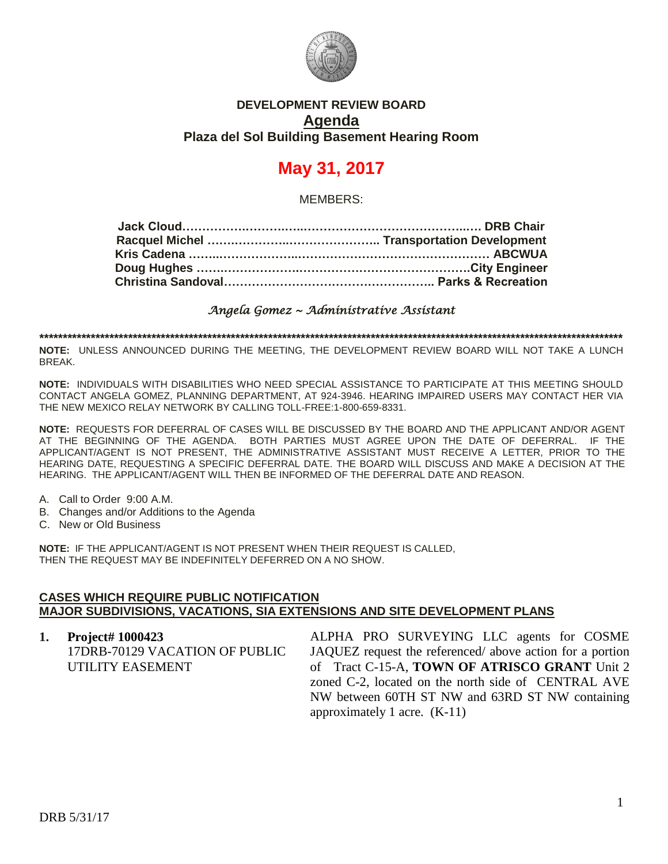

## **DEVELOPMENT REVIEW BOARD Agenda Plaza del Sol Building Basement Hearing Room**

## **May 31, 2017**

MEMBERS:

*Angela Gomez ~ Administrative Assistant* 

**\*\*\*\*\*\*\*\*\*\*\*\*\*\*\*\*\*\*\*\*\*\*\*\*\*\*\*\*\*\*\*\*\*\*\*\*\*\*\*\*\*\*\*\*\*\*\*\*\*\*\*\*\*\*\*\*\*\*\*\*\*\*\*\*\*\*\*\*\*\*\*\*\*\*\*\*\*\*\*\*\*\*\*\*\*\*\*\*\*\*\*\*\*\*\*\*\*\*\*\*\*\*\*\*\*\*\*\*\*\*\*\*\*\*\*\*\*\*\*\*\*\*\*\*\***

**NOTE:** UNLESS ANNOUNCED DURING THE MEETING, THE DEVELOPMENT REVIEW BOARD WILL NOT TAKE A LUNCH BREAK.

**NOTE:** INDIVIDUALS WITH DISABILITIES WHO NEED SPECIAL ASSISTANCE TO PARTICIPATE AT THIS MEETING SHOULD CONTACT ANGELA GOMEZ, PLANNING DEPARTMENT, AT 924-3946. HEARING IMPAIRED USERS MAY CONTACT HER VIA THE NEW MEXICO RELAY NETWORK BY CALLING TOLL-FREE:1-800-659-8331.

**NOTE:** REQUESTS FOR DEFERRAL OF CASES WILL BE DISCUSSED BY THE BOARD AND THE APPLICANT AND/OR AGENT AT THE BEGINNING OF THE AGENDA. BOTH PARTIES MUST AGREE UPON THE DATE OF DEFERRAL. IF THE APPLICANT/AGENT IS NOT PRESENT, THE ADMINISTRATIVE ASSISTANT MUST RECEIVE A LETTER, PRIOR TO THE HEARING DATE, REQUESTING A SPECIFIC DEFERRAL DATE. THE BOARD WILL DISCUSS AND MAKE A DECISION AT THE HEARING. THE APPLICANT/AGENT WILL THEN BE INFORMED OF THE DEFERRAL DATE AND REASON.

- A. Call to Order 9:00 A.M.
- B. Changes and/or Additions to the Agenda
- C. New or Old Business

**NOTE:** IF THE APPLICANT/AGENT IS NOT PRESENT WHEN THEIR REQUEST IS CALLED, THEN THE REQUEST MAY BE INDEFINITELY DEFERRED ON A NO SHOW.

## **CASES WHICH REQUIRE PUBLIC NOTIFICATION MAJOR SUBDIVISIONS, VACATIONS, SIA EXTENSIONS AND SITE DEVELOPMENT PLANS**

| 1. Project# 1000423            | ALPHA PRO SURVEYING LLC agents for COSME                  |
|--------------------------------|-----------------------------------------------------------|
| 17DRB-70129 VACATION OF PUBLIC | JAQUEZ request the referenced/ above action for a portion |
| UTILITY EASEMENT               | of Tract C-15-A, TOWN OF ATRISCO GRANT Unit 2             |
|                                | zoned C-2, located on the north side of CENTRAL AVE       |
|                                | NW between 60TH ST NW and 63RD ST NW containing           |
|                                | approximately 1 acre. $(K-11)$                            |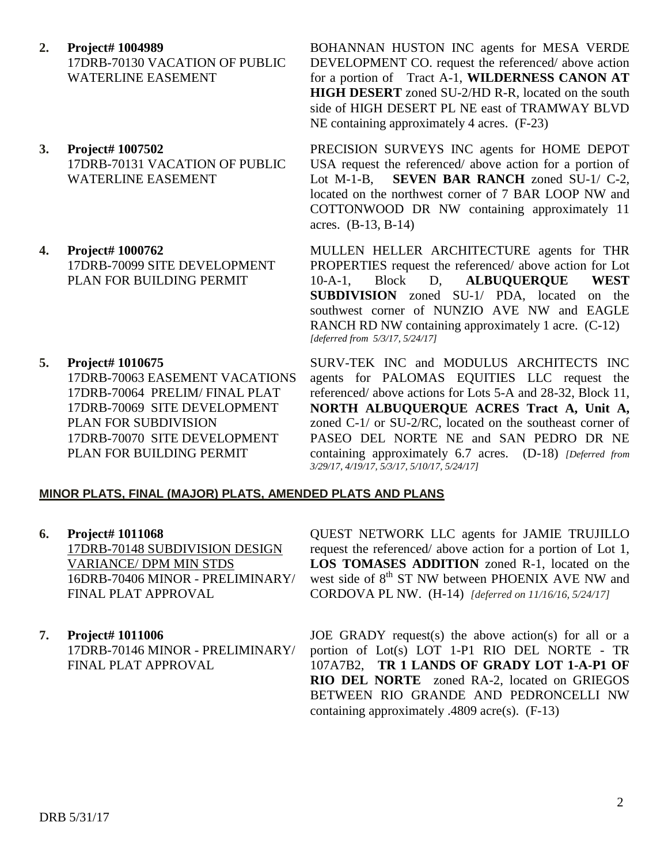- **2. Project# 1004989** 17DRB-70130 VACATION OF PUBLIC WATERLINE EASEMENT
- **3. Project# 1007502** 17DRB-70131 VACATION OF PUBLIC WATERLINE EASEMENT
- **4. Project# 1000762** 17DRB-70099 SITE DEVELOPMENT PLAN FOR BUILDING PERMIT
- **5. Project# 1010675** 17DRB-70063 EASEMENT VACATIONS 17DRB-70064 PRELIM/ FINAL PLAT 17DRB-70069 SITE DEVELOPMENT PLAN FOR SUBDIVISION

17DRB-70070 SITE DEVELOPMENT PLAN FOR BUILDING PERMIT

BOHANNAN HUSTON INC agents for MESA VERDE DEVELOPMENT CO. request the referenced/ above action for a portion of Tract A-1, **WILDERNESS CANON AT HIGH DESERT** zoned SU-2/HD R-R, located on the south side of HIGH DESERT PL NE east of TRAMWAY BLVD NE containing approximately 4 acres. (F-23)

PRECISION SURVEYS INC agents for HOME DEPOT USA request the referenced/ above action for a portion of Lot M-1-B, **SEVEN BAR RANCH** zoned SU-1/ C-2, located on the northwest corner of 7 BAR LOOP NW and COTTONWOOD DR NW containing approximately 11 acres. (B-13, B-14)

MULLEN HELLER ARCHITECTURE agents for THR PROPERTIES request the referenced/ above action for Lot 10-A-1, Block D, **ALBUQUERQUE WEST SUBDIVISION** zoned SU-1/ PDA, located on the southwest corner of NUNZIO AVE NW and EAGLE RANCH RD NW containing approximately 1 acre. (C-12) *[deferred from 5/3/17, 5/24/17]*

SURV-TEK INC and MODULUS ARCHITECTS INC agents for PALOMAS EQUITIES LLC request the referenced/ above actions for Lots 5-A and 28-32, Block 11, **NORTH ALBUQUERQUE ACRES Tract A, Unit A,** zoned C-1/ or SU-2/RC, located on the southeast corner of PASEO DEL NORTE NE and SAN PEDRO DR NE containing approximately 6.7 acres. (D-18) *[Deferred from 3/29/17, 4/19/17, 5/3/17, 5/10/17, 5/24/17]*

## **MINOR PLATS, FINAL (MAJOR) PLATS, AMENDED PLATS AND PLANS**

- **6. Project# 1011068** 17DRB-70148 SUBDIVISION DESIGN VARIANCE/ DPM MIN STDS 16DRB-70406 MINOR - PRELIMINARY/ FINAL PLAT APPROVAL
- **7. Project# 1011006** 17DRB-70146 MINOR - PRELIMINARY/ FINAL PLAT APPROVAL

QUEST NETWORK LLC agents for JAMIE TRUJILLO request the referenced/ above action for a portion of Lot 1, **LOS TOMASES ADDITION** zoned R-1, located on the west side of  $8<sup>th</sup>$  ST NW between PHOENIX AVE NW and CORDOVA PL NW. (H-14)*[deferred on 11/16/16, 5/24/17]*

JOE GRADY request(s) the above action(s) for all or a portion of Lot(s) LOT 1-P1 RIO DEL NORTE - TR 107A7B2, **TR 1 LANDS OF GRADY LOT 1-A-P1 OF RIO DEL NORTE** zoned RA-2, located on GRIEGOS BETWEEN RIO GRANDE AND PEDRONCELLI NW containing approximately .4809 acre(s). (F-13)